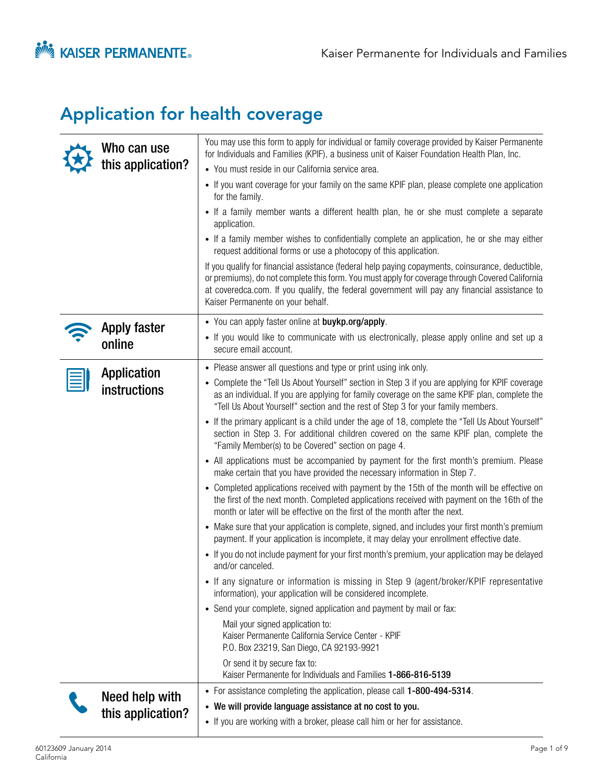# Application for health coverage

|  | Who can use                               | You may use this form to apply for individual or family coverage provided by Kaiser Permanente<br>for Individuals and Families (KPIF), a business unit of Kaiser Foundation Health Plan, Inc.                                                                                                                                              |  |  |
|--|-------------------------------------------|--------------------------------------------------------------------------------------------------------------------------------------------------------------------------------------------------------------------------------------------------------------------------------------------------------------------------------------------|--|--|
|  | this application?                         | • You must reside in our California service area.                                                                                                                                                                                                                                                                                          |  |  |
|  |                                           | • If you want coverage for your family on the same KPIF plan, please complete one application<br>for the family.                                                                                                                                                                                                                           |  |  |
|  |                                           | • If a family member wants a different health plan, he or she must complete a separate<br>application.                                                                                                                                                                                                                                     |  |  |
|  |                                           | • If a family member wishes to confidentially complete an application, he or she may either<br>request additional forms or use a photocopy of this application.                                                                                                                                                                            |  |  |
|  |                                           | If you qualify for financial assistance (federal help paying copayments, coinsurance, deductible,<br>or premiums), do not complete this form. You must apply for coverage through Covered California<br>at coveredca.com. If you qualify, the federal government will pay any financial assistance to<br>Kaiser Permanente on your behalf. |  |  |
|  |                                           | • You can apply faster online at buykp.org/apply.                                                                                                                                                                                                                                                                                          |  |  |
|  | <b>Apply faster</b><br>online             | • If you would like to communicate with us electronically, please apply online and set up a<br>secure email account.                                                                                                                                                                                                                       |  |  |
|  |                                           | • Please answer all questions and type or print using ink only.                                                                                                                                                                                                                                                                            |  |  |
|  | <b>Application</b><br><b>instructions</b> | • Complete the "Tell Us About Yourself" section in Step 3 if you are applying for KPIF coverage<br>as an individual. If you are applying for family coverage on the same KPIF plan, complete the<br>"Tell Us About Yourself" section and the rest of Step 3 for your family members.                                                       |  |  |
|  |                                           | • If the primary applicant is a child under the age of 18, complete the "Tell Us About Yourself"<br>section in Step 3. For additional children covered on the same KPIF plan, complete the<br>"Family Member(s) to be Covered" section on page 4.                                                                                          |  |  |
|  |                                           | • All applications must be accompanied by payment for the first month's premium. Please<br>make certain that you have provided the necessary information in Step 7.                                                                                                                                                                        |  |  |
|  |                                           | • Completed applications received with payment by the 15th of the month will be effective on<br>the first of the next month. Completed applications received with payment on the 16th of the<br>month or later will be effective on the first of the month after the next.                                                                 |  |  |
|  |                                           | • Make sure that your application is complete, signed, and includes your first month's premium<br>payment. If your application is incomplete, it may delay your enrollment effective date.                                                                                                                                                 |  |  |
|  |                                           | • If you do not include payment for your first month's premium, your application may be delayed<br>and/or canceled.                                                                                                                                                                                                                        |  |  |
|  |                                           | • If any signature or information is missing in Step 9 (agent/broker/KPIF representative<br>information), your application will be considered incomplete.                                                                                                                                                                                  |  |  |
|  |                                           | • Send your complete, signed application and payment by mail or fax:                                                                                                                                                                                                                                                                       |  |  |
|  |                                           | Mail your signed application to:<br>Kaiser Permanente California Service Center - KPIF<br>P.O. Box 23219, San Diego, CA 92193-9921                                                                                                                                                                                                         |  |  |
|  |                                           | Or send it by secure fax to:<br>Kaiser Permanente for Individuals and Families 1-866-816-5139                                                                                                                                                                                                                                              |  |  |
|  | Need help with                            | • For assistance completing the application, please call 1-800-494-5314.                                                                                                                                                                                                                                                                   |  |  |
|  | this application?                         | • We will provide language assistance at no cost to you.                                                                                                                                                                                                                                                                                   |  |  |
|  |                                           | • If you are working with a broker, please call him or her for assistance.                                                                                                                                                                                                                                                                 |  |  |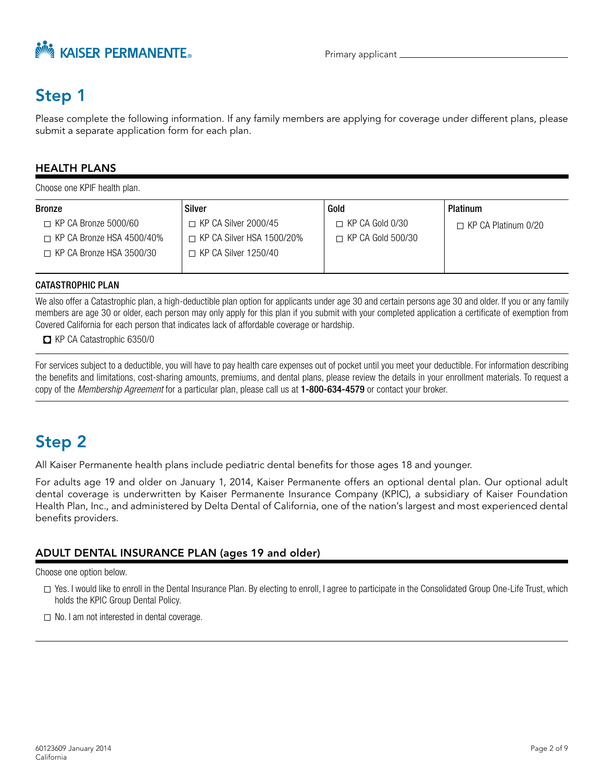

## Step 1

Please complete the following information. If any family members are applying for coverage under different plans, please submit a separate application form for each plan.

### HEALTH PLANS

Choose one KPIF health plan.

| <b>Bronze</b>                    | <b>Silver</b>                    | Gold                     | <b>Platinum</b>            |
|----------------------------------|----------------------------------|--------------------------|----------------------------|
| $\Box$ KP CA Bronze 5000/60      | $\Box$ KP CA Silver 2000/45      | $\Box$ KP CA Gold 0/30   | $\Box$ KP CA Platinum 0/20 |
| $\Box$ KP CA Bronze HSA 4500/40% | $\Box$ KP CA Silver HSA 1500/20% | $\Box$ KP CA Gold 500/30 |                            |
| $\Box$ KP CA Bronze HSA 3500/30  | $\Box$ KP CA Silver 1250/40      |                          |                            |
|                                  |                                  |                          |                            |

#### CATASTROPHIC PLAN

We also offer a Catastrophic plan, a high-deductible plan option for applicants under age 30 and certain persons age 30 and older. If you or any family members are age 30 or older, each person may only apply for this plan if you submit with your completed application a certificate of exemption from Covered California for each person that indicates lack of affordable coverage or hardship.

### KP CA Catastrophic 6350/0

 the benefits and limitations, cost-sharing amounts, premiums, and dental plans, please review the details in your enrollment materials. To request a For services subject to a deductible, you will have to pay health care expenses out of pocket until you meet your deductible. For information describing copy of the Membership Agreement for a particular plan, please call us at 1-800-634-4579 or contact your broker.

## Step 2

All Kaiser Permanente health plans include pediatric dental benefits for those ages 18 and younger.

For adults age 19 and older on January 1, 2014, Kaiser Permanente offers an optional dental plan. Our optional adult dental coverage is underwritten by Kaiser Permanente Insurance Company (KPIC), a subsidiary of Kaiser Foundation Health Plan, Inc., and administered by Delta Dental of California, one of the nation's largest and most experienced dental benefits providers.

### ADULT DENTAL INSURANCE PLAN (ages 19 and older)

Choose one option below.

- Yes. I would like to enroll in the Dental Insurance Plan. By electing to enroll, I agree to participate in the Consolidated Group One-Life Trust, which holds the KPIC Group Dental Policy.
- No. I am not interested in dental coverage.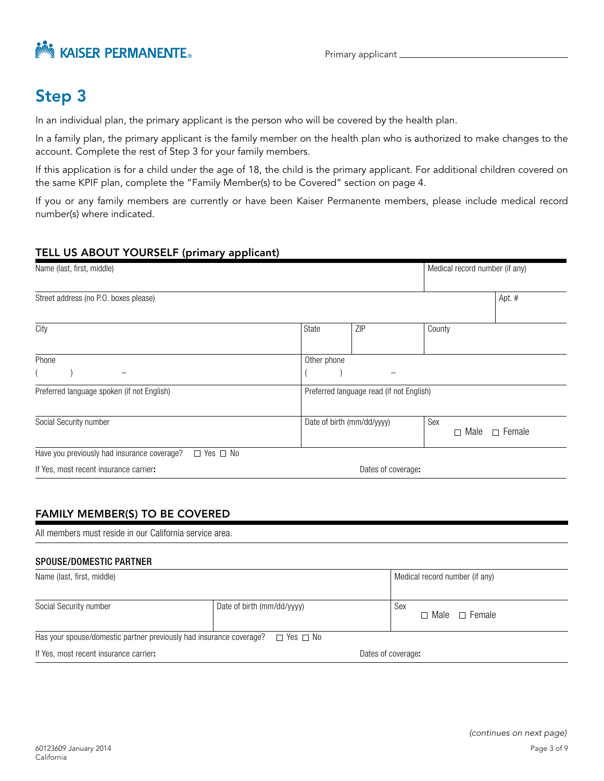# **NOW KAISER PERMANENTE**

## Step 3

In an individual plan, the primary applicant is the person who will be covered by the health plan.

In a family plan, the primary applicant is the family member on the health plan who is authorized to make changes to the account. Complete the rest of Step 3 for your family members.

If this application is for a child under the age of 18, the child is the primary applicant. For additional children covered on the same KPIF plan, complete the "Family Member(s) to be Covered" section on page 4.

If you or any family members are currently or have been Kaiser Permanente members, please include medical record number(s) where indicated.

### TELL US ABOUT YOURSELF (primary applicant)

| Name (last, first, middle)                                          |                            |                                          | Medical record number (if any) |               |
|---------------------------------------------------------------------|----------------------------|------------------------------------------|--------------------------------|---------------|
| Street address (no P.O. boxes please)                               |                            |                                          |                                | Apt. #        |
| City                                                                | State                      | ZIP                                      | County                         |               |
| Phone<br>-                                                          | Other phone                |                                          |                                |               |
| Preferred language spoken (if not English)                          |                            | Preferred language read (if not English) |                                |               |
| Social Security number                                              | Date of birth (mm/dd/yyyy) |                                          | Sex<br>Male<br>$\Box$          | $\Box$ Female |
| Have you previously had insurance coverage?<br>$\Box$ Yes $\Box$ No |                            |                                          |                                |               |
| If Yes, most recent insurance carrier:                              |                            | Dates of coverage:                       |                                |               |

## FAMILY MEMBER(S) TO BE COVERED

| All members must reside in our California service area.             |                      |                                  |  |  |
|---------------------------------------------------------------------|----------------------|----------------------------------|--|--|
| <b>SPOUSE/DOMESTIC PARTNER</b>                                      |                      |                                  |  |  |
| Name (last, first, middle)                                          |                      | Medical record number (if any)   |  |  |
| Social Security number<br>Date of birth (mm/dd/yyyy)                |                      | Sex<br>$\Box$ Male $\Box$ Female |  |  |
| Has your spouse/domestic partner previously had insurance coverage? | $\Box$ Yes $\Box$ No |                                  |  |  |

If Yes, most recent insurance carrier: Dates of coverage:

(continues on next page) Page 3 of 9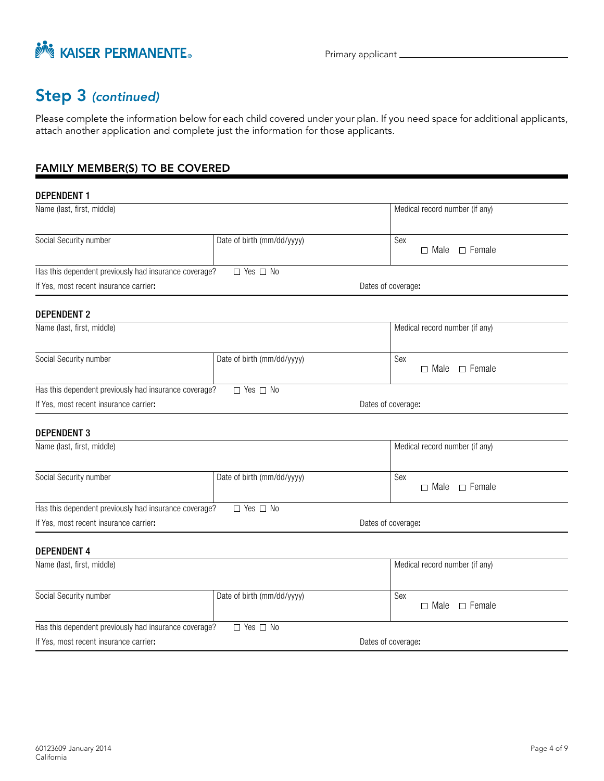

Primary applicant \_

## Step 3 (continued)

Please complete the information below for each child covered under your plan. If you need space for additional applicants, attach another application and complete just the information for those applicants.

## FAMILY MEMBER(S) TO BE COVERED

| <b>DEPENDENT 1</b>                                           |                            |                                     |  |  |
|--------------------------------------------------------------|----------------------------|-------------------------------------|--|--|
| Name (last, first, middle)                                   |                            | Medical record number (if any)      |  |  |
| Social Security number                                       | Date of birth (mm/dd/yyyy) | Sex<br>$\Box$ Male $\Box$ Female    |  |  |
| Has this dependent previously had insurance coverage?        | $\Box$ Yes $\Box$ No       |                                     |  |  |
| If Yes, most recent insurance carrier:                       |                            | Dates of coverage:                  |  |  |
| <b>DEPENDENT 2</b>                                           |                            |                                     |  |  |
| Name (last, first, middle)                                   |                            | Medical record number (if any)      |  |  |
| Social Security number                                       | Date of birth (mm/dd/yyyy) | Sex<br>$\Box$ Female<br>$\Box$ Male |  |  |
| Has this dependent previously had insurance coverage?        | $\Box$ Yes $\Box$ No       |                                     |  |  |
| If Yes, most recent insurance carrier:<br>Dates of coverage: |                            |                                     |  |  |
| <b>DEPENDENT 3</b>                                           |                            |                                     |  |  |
| Name (last, first, middle)                                   |                            | Medical record number (if any)      |  |  |
| Social Security number<br>Date of birth (mm/dd/yyyy)         |                            | Sex<br>$\Box$ Female<br>$\Box$ Male |  |  |
| Has this dependent previously had insurance coverage?        | $\Box$ Yes $\Box$ No       |                                     |  |  |
| If Yes, most recent insurance carrier:                       |                            | Dates of coverage:                  |  |  |
| <b>DEPENDENT 4</b>                                           |                            |                                     |  |  |
| Name (last, first, middle)                                   |                            | Medical record number (if any)      |  |  |
| Social Security number<br>Date of birth (mm/dd/yyyy)         |                            | Sex<br>□ Female<br>$\Box$ Male      |  |  |
| Has this dependent previously had insurance coverage?        | $\Box$ Yes $\Box$ No       |                                     |  |  |
| If Yes, most recent insurance carrier:                       |                            | Dates of coverage:                  |  |  |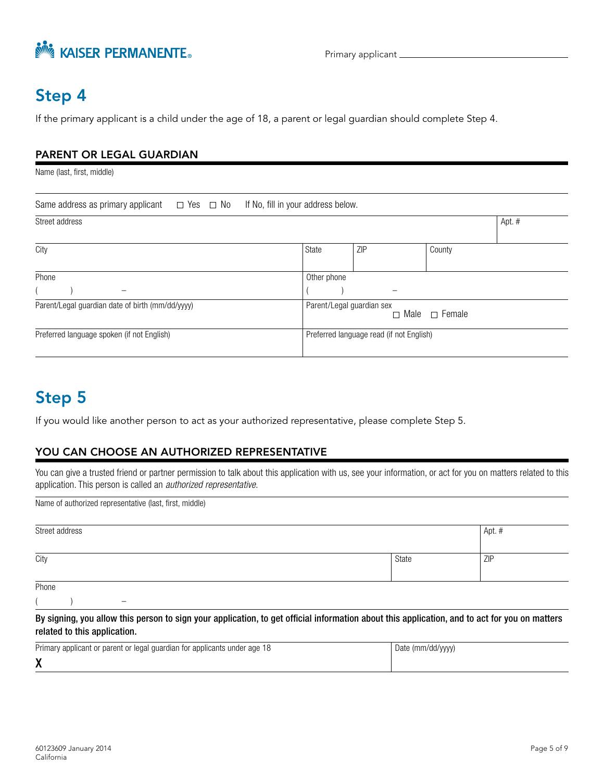

Primary applicant \_

## Step 4

If the primary applicant is a child under the age of 18, a parent or legal guardian should complete Step 4.

## PARENT OR LEGAL GUARDIAN

 $\Box$  Yes  $\Box$  No Name (last, first, middle) Same address as primary applicant  $\Box$  Yes  $\Box$  No If No, fill in your address below. Street address Apt. # Apt. # Apt. # Apt. # Apt. # Apt. # Apt. # Apt. # Apt. # Apt. # Apt. # Apt. # Apt. # Apt. # Apt. # Apt. # Apt. # Apt. # Apt. # Apt. # Apt. # Apt. # Apt. # Apt. # Apt. # Apt. # Apt. # Apt. # Apt. # Apt. City State ZIP County **Phone**  $($  )  $-$ Other phone  $($  )  $-$ Parent/Legal guardian date of birth (mm/dd/yyyy) Parent/Legal guardian sex  $\square$  Male  $\square$  Female Preferred language spoken (if not English) Preferred language read (if not English)

## Step 5

If you would like another person to act as your authorized representative, please complete Step 5.

### YOU CAN CHOOSE AN AUTHORIZED REPRESENTATIVE

You can give a trusted friend or partner permission to talk about this application with us, see your information, or act for you on matters related to this application. This person is called an authorized representative.

Name of authorized representative (last, first, middle)

| Street address | Apt. # |     |
|----------------|--------|-----|
| City           | State  | ZIP |
| Phone          |        |     |

 $($  )  $-$ 

By signing, you allow this person to sign your application, to get official information about this application, and to act for you on matters related to this application.

| Primary applicant or parent or legal guardian for applicants under age 18 | Date (mm/dd/yyyy) |
|---------------------------------------------------------------------------|-------------------|
| v<br>$\boldsymbol{\mathcal{L}}$                                           |                   |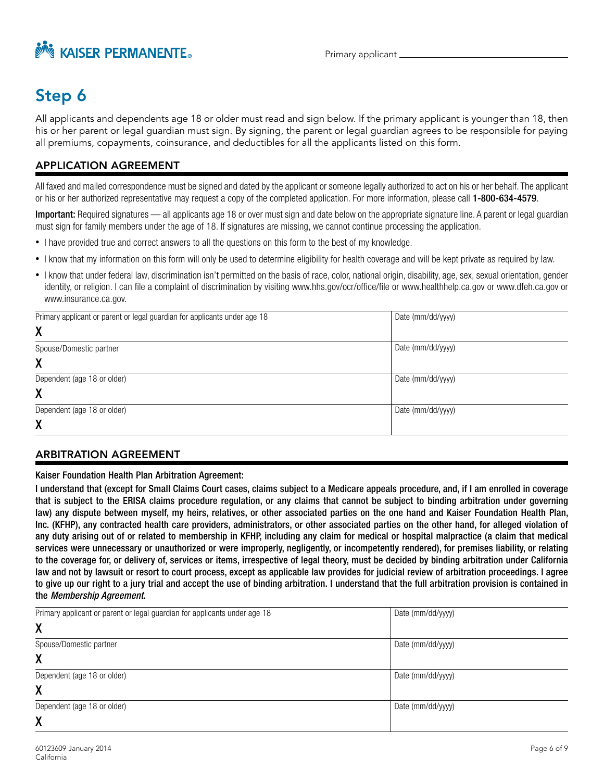

Primary applicant

## Step 6

All applicants and dependents age 18 or older must read and sign below. If the primary applicant is younger than 18, then his or her parent or legal guardian must sign. By signing, the parent or legal guardian agrees to be responsible for paying all premiums, copayments, coinsurance, and deductibles for all the applicants listed on this form.

## APPLICATION AGREEMENT

 All faxed and mailed correspondence must be signed and dated by the applicant or someone legally authorized to act on his or her behalf. The applicant or his or her authorized representative may request a copy of the completed application. For more information, please call 1-800-634-4579.

**Important:** Required signatures — all applicants age 18 or over must sign and date below on the appropriate signature line. A parent or legal guardian must sign for family members under the age of 18. If signatures are missing, we cannot continue processing the application.

- I have provided true and correct answers to all the questions on this form to the best of my knowledge.
- I know that my information on this form will only be used to determine eligibility for health coverage and will be kept private as required by law.
- • I know that under federal law, discrimination isn't permitted on the basis of race, color, national origin, disability, age, sex, sexual orientation, gender identity, or religion. I can file a complaint of discrimination by visiting www.hhs.gov/ocr/office/file or www.healthhelp.ca.gov or www.dfeh.ca.gov or www.insurance.ca.gov.

| Primary applicant or parent or legal guardian for applicants under age 18 | Date (mm/dd/yyyy) |
|---------------------------------------------------------------------------|-------------------|
| X                                                                         |                   |
| Spouse/Domestic partner                                                   | Date (mm/dd/yyyy) |
| X                                                                         |                   |
| Dependent (age 18 or older)                                               | Date (mm/dd/yyyy) |
| χ                                                                         |                   |
| Dependent (age 18 or older)                                               | Date (mm/dd/yyyy) |
| χ                                                                         |                   |

### ARBITRATION AGREEMENT

Kaiser Foundation Health Plan Arbitration Agreement:

I understand that (except for Small Claims Court cases, claims subject to a Medicare appeals procedure, and, if I am enrolled in coverage that is subject to the ERISA claims procedure regulation, or any claims that cannot be subject to binding arbitration under governing law) any dispute between myself, my heirs, relatives, or other associated parties on the one hand and Kaiser Foundation Health Plan, Inc. (KFHP), any contracted health care providers, administrators, or other associated parties on the other hand, for alleged violation of any duty arising out of or related to membership in KFHP, including any claim for medical or hospital malpractice (a claim that medical services were unnecessary or unauthorized or were improperly, negligently, or incompetently rendered), for premises liability, or relating to the coverage for, or delivery of, services or items, irrespective of legal theory, must be decided by binding arbitration under California law and not by lawsuit or resort to court process, except as applicable law provides for judicial review of arbitration proceedings. I agree to give up our right to a jury trial and accept the use of binding arbitration. I understand that the full arbitration provision is contained in the Membership Agreement.

| Primary applicant or parent or legal guardian for applicants under age 18 | Date (mm/dd/yyyy) |
|---------------------------------------------------------------------------|-------------------|
| χ                                                                         |                   |
| Spouse/Domestic partner                                                   | Date (mm/dd/yyyy) |
| χ                                                                         |                   |
| Dependent (age 18 or older)                                               | Date (mm/dd/yyyy) |
| χ                                                                         |                   |
| Dependent (age 18 or older)                                               | Date (mm/dd/yyyy) |
| χ                                                                         |                   |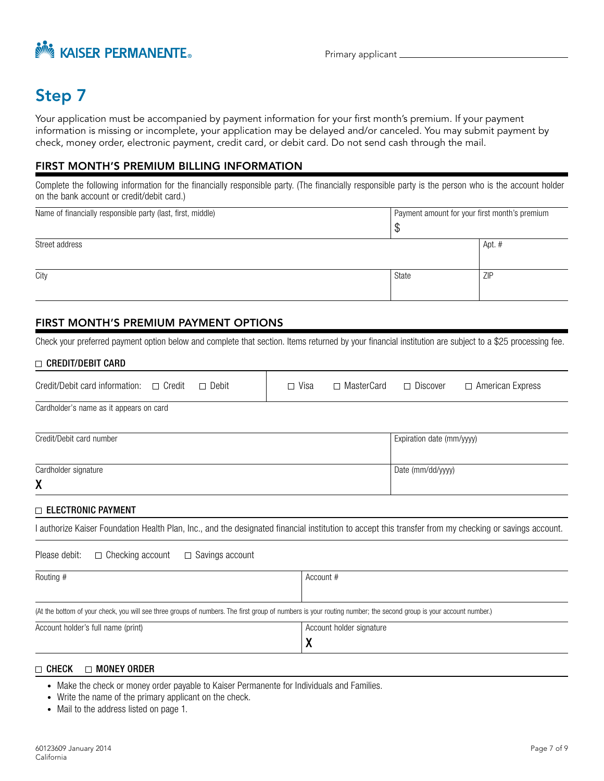

## Step 7

Your application must be accompanied by payment information for your first month's premium. If your payment information is missing or incomplete, your application may be delayed and/or canceled. You may submit payment by check, money order, electronic payment, credit card, or debit card. Do not send cash through the mail.

### FIRST MONTH'S PREMIUM BILLING INFORMATION

Complete the following information for the financially responsible party. (The financially responsible party is the person who is the account holder on the bank account or credit/debit card.)

| Name of financially responsible party (last, first, middle) | Payment amount for your first month's premium |        |
|-------------------------------------------------------------|-----------------------------------------------|--------|
|                                                             | \$                                            |        |
| Street address                                              |                                               | Apt. # |
| City                                                        | State                                         | ZIP    |

## FIRST MONTH'S PREMIUM PAYMENT OPTIONS

Check your preferred payment option below and complete that section. Items returned by your financial institution are subject to a \$25 processing fee.

#### CREDIT/DEBIT CARD

| Credit/Debit card information: | Credit<br>П | Debit | Visa | MasterCard<br>$\overline{\phantom{0}}$ | $\Box$ Discover | American Express |
|--------------------------------|-------------|-------|------|----------------------------------------|-----------------|------------------|
|--------------------------------|-------------|-------|------|----------------------------------------|-----------------|------------------|

Cardholder's name as it appears on card

| Credit/Debit card number | Expiration date (mm/yyyy) |
|--------------------------|---------------------------|
| Cardholder signature     | Date (mm/dd/yyyy)         |
| X                        |                           |

#### ELECTRONIC PAYMENT

|  |  |  |  | I authorize Kaiser Foundation Health Plan, Inc., and the designated financial institution to accept this transfer from my checking or savings account. |
|--|--|--|--|--------------------------------------------------------------------------------------------------------------------------------------------------------|
|--|--|--|--|--------------------------------------------------------------------------------------------------------------------------------------------------------|

Please debit:  $\square$  Checking account  $\square$  Savings account

| Routing #                                                                                                                                                        | Account #                |  |
|------------------------------------------------------------------------------------------------------------------------------------------------------------------|--------------------------|--|
|                                                                                                                                                                  |                          |  |
| (At the bottom of your check, you will see three groups of numbers. The first group of numbers is your routing number; the second group is your account number.) |                          |  |
| Account holder's full name (print)                                                                                                                               | Account holder signature |  |
|                                                                                                                                                                  | v                        |  |

#### CHECK  $\Box$  MONEY ORDER

- Make the check or money order payable to Kaiser Permanente for Individuals and Families.
- Write the name of the primary applicant on the check.
- Mail to the address listed on page 1.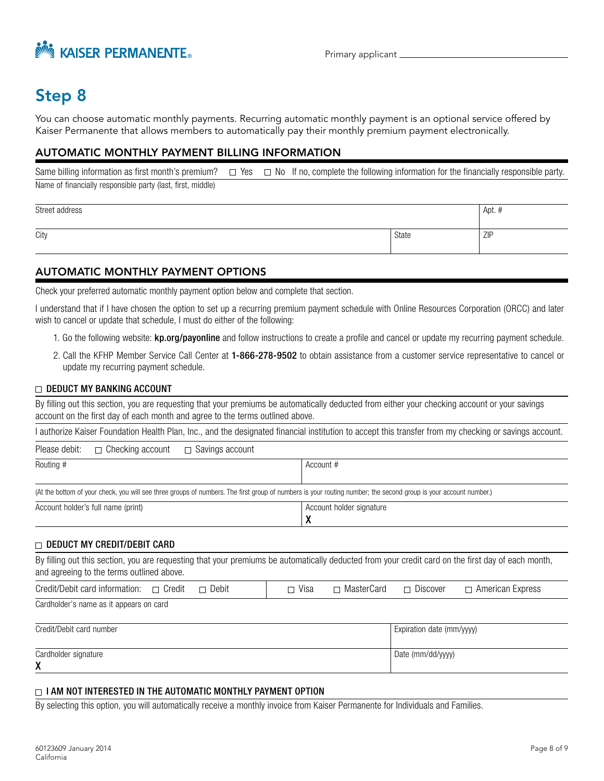

## Step 8

You can choose automatic monthly payments. Recurring automatic monthly payment is an optional service offered by Kaiser Permanente that allows members to automatically pay their monthly premium payment electronically.

### AUTOMATIC MONTHLY PAYMENT BILLING INFORMATION

Same billing information as first month's premium?  $\Box$  Yes  $\Box$  No If no, complete the following information for the financially responsible party. Name of financially responsible party (last, first, middle)

| Street address |       | Apt. # |
|----------------|-------|--------|
| City           | State | ZIP    |

### AUTOMATIC MONTHLY PAYMENT OPTIONS

Check your preferred automatic monthly payment option below and complete that section.

I understand that if I have chosen the option to set up a recurring premium payment schedule with Online Resources Corporation (ORCC) and later wish to cancel or update that schedule, I must do either of the following:

- 1. Go the following website: **kp.org/payonline** and follow instructions to create a profile and cancel or update my recurring payment schedule.
- 2. Call the KFHP Member Service Call Center at 1-866-278-9502 to obtain assistance from a customer service representative to cancel or update my recurring payment schedule.

#### DEDUCT MY BANKING ACCOUNT

By filling out this section, you are requesting that your premiums be automatically deducted from either your checking account or your savings account on the first day of each month and agree to the terms outlined above.

I authorize Kaiser Foundation Health Plan, Inc., and the designated financial institution to accept this transfer from my checking or savings account.

| Please debit:<br>$\Box$ Checking account<br>$\Box$ Savings account                                                                                               |                          |  |  |  |
|------------------------------------------------------------------------------------------------------------------------------------------------------------------|--------------------------|--|--|--|
| Routing #                                                                                                                                                        | Account #                |  |  |  |
|                                                                                                                                                                  |                          |  |  |  |
| (At the bottom of your check, you will see three groups of numbers. The first group of numbers is your routing number; the second group is your account number.) |                          |  |  |  |
| Account holder's full name (print)                                                                                                                               | Account holder signature |  |  |  |
|                                                                                                                                                                  |                          |  |  |  |

#### DEDUCT MY CREDIT/DEBIT CARD

By filling out this section, you are requesting that your premiums be automatically deducted from your credit card on the first day of each month, and agreeing to the terms outlined above.

| $\cdots$<br>Credit/<br>. .<br>Debit<br>Credit<br>Debit.<br>information:<br>card | Visa | __<br>Carr<br>Master | __<br>Discover | -vnrocc<br>mericar،<br>ATTIC.<br>-γηι ρορ |
|---------------------------------------------------------------------------------|------|----------------------|----------------|-------------------------------------------|
|                                                                                 |      |                      |                |                                           |

Cardholder's name as it appears on card

| Credit/Debit card number | Expiration date (mm/yyyy) |
|--------------------------|---------------------------|
| Cardholder signature     | Date (mm/dd/yyyy)         |
| χ                        |                           |

#### $\Box$  I AM NOT INTERESTED IN THE AUTOMATIC MONTHLY PAYMENT OPTION

By selecting this option, you will automatically receive a monthly invoice from Kaiser Permanente for Individuals and Families.